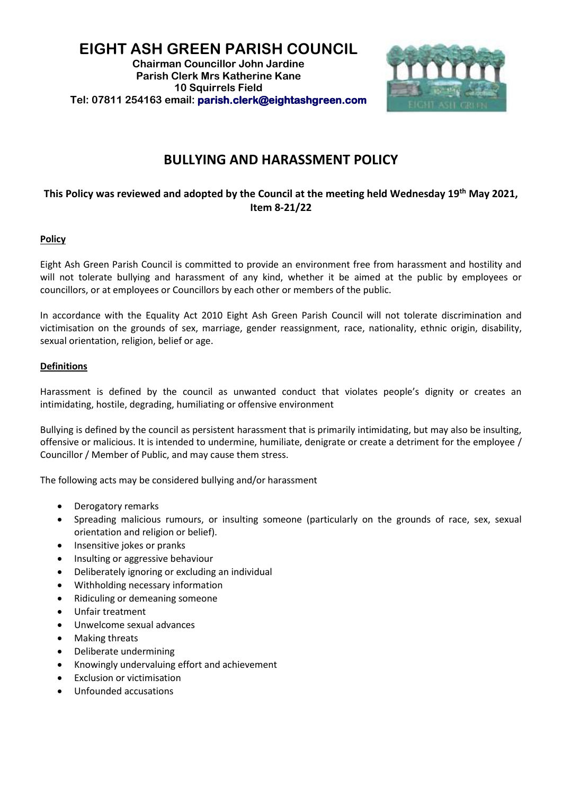## **EIGHT ASH GREEN PARISH COUNCIL Chairman Councillor John Jardine Parish Clerk Mrs Katherine Kane 10 Squirrels Field Tel: 07811 254163 email: [parish.clerk@eightashgreen.com](mailto:parish.clerk@eightashgreen.com)**



# **BULLYING AND HARASSMENT POLICY**

# **This Policy was reviewed and adopted by the Council at the meeting held Wednesday 19th May 2021, Item 8-21/22**

### **Policy**

Eight Ash Green Parish Council is committed to provide an environment free from harassment and hostility and will not tolerate bullying and harassment of any kind, whether it be aimed at the public by employees or councillors, or at employees or Councillors by each other or members of the public.

In accordance with the Equality Act 2010 Eight Ash Green Parish Council will not tolerate discrimination and victimisation on the grounds of sex, marriage, gender reassignment, race, nationality, ethnic origin, disability, sexual orientation, religion, belief or age.

#### **Definitions**

Harassment is defined by the council as unwanted conduct that violates people's dignity or creates an intimidating, hostile, degrading, humiliating or offensive environment

Bullying is defined by the council as persistent harassment that is primarily intimidating, but may also be insulting, offensive or malicious. It is intended to undermine, humiliate, denigrate or create a detriment for the employee / Councillor / Member of Public, and may cause them stress.

The following acts may be considered bullying and/or harassment

- Derogatory remarks
- Spreading malicious rumours, or insulting someone (particularly on the grounds of race, sex, sexual orientation and religion or belief).
- Insensitive jokes or pranks
- Insulting or aggressive behaviour
- Deliberately ignoring or excluding an individual
- Withholding necessary information
- Ridiculing or demeaning someone
- Unfair treatment
- Unwelcome sexual advances
- Making threats
- Deliberate undermining
- Knowingly undervaluing effort and achievement
- Exclusion or victimisation
- Unfounded accusations